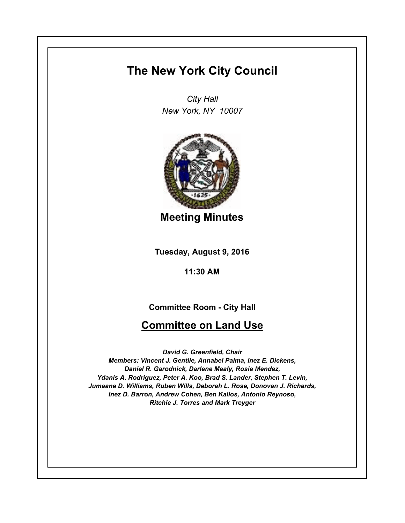## **The New York City Council**

*City Hall New York, NY 10007*



**Meeting Minutes**

**Tuesday, August 9, 2016**

**11:30 AM**

**Committee Room - City Hall**

## **Committee on Land Use**

*David G. Greenfield, Chair Members: Vincent J. Gentile, Annabel Palma, Inez E. Dickens, Daniel R. Garodnick, Darlene Mealy, Rosie Mendez, Ydanis A. Rodriguez, Peter A. Koo, Brad S. Lander, Stephen T. Levin, Jumaane D. Williams, Ruben Wills, Deborah L. Rose, Donovan J. Richards, Inez D. Barron, Andrew Cohen, Ben Kallos, Antonio Reynoso, Ritchie J. Torres and Mark Treyger*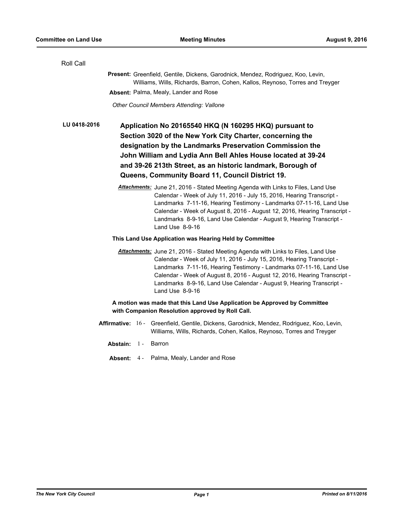| Roll Call                                                                                                                                                         |                                                                                                                                                                                                                                                                                                                                                                    |  |                                                                                                                                                                                                                                                                                                                                                                                                             |  |  |
|-------------------------------------------------------------------------------------------------------------------------------------------------------------------|--------------------------------------------------------------------------------------------------------------------------------------------------------------------------------------------------------------------------------------------------------------------------------------------------------------------------------------------------------------------|--|-------------------------------------------------------------------------------------------------------------------------------------------------------------------------------------------------------------------------------------------------------------------------------------------------------------------------------------------------------------------------------------------------------------|--|--|
| Present: Greenfield, Gentile, Dickens, Garodnick, Mendez, Rodriguez, Koo, Levin,<br>Williams, Wills, Richards, Barron, Cohen, Kallos, Reynoso, Torres and Treyger |                                                                                                                                                                                                                                                                                                                                                                    |  |                                                                                                                                                                                                                                                                                                                                                                                                             |  |  |
|                                                                                                                                                                   |                                                                                                                                                                                                                                                                                                                                                                    |  | Absent: Palma, Mealy, Lander and Rose                                                                                                                                                                                                                                                                                                                                                                       |  |  |
|                                                                                                                                                                   |                                                                                                                                                                                                                                                                                                                                                                    |  | Other Council Members Attending: Vallone                                                                                                                                                                                                                                                                                                                                                                    |  |  |
| LU 0418-2016                                                                                                                                                      | Application No 20165540 HKQ (N 160295 HKQ) pursuant to<br>Section 3020 of the New York City Charter, concerning the<br>designation by the Landmarks Preservation Commission the<br>John William and Lydia Ann Bell Ahles House located at 39-24<br>and 39-26 213th Street, as an historic landmark, Borough of<br>Queens, Community Board 11, Council District 19. |  |                                                                                                                                                                                                                                                                                                                                                                                                             |  |  |
|                                                                                                                                                                   |                                                                                                                                                                                                                                                                                                                                                                    |  | Attachments: June 21, 2016 - Stated Meeting Agenda with Links to Files, Land Use<br>Calendar - Week of July 11, 2016 - July 15, 2016, Hearing Transcript -<br>Landmarks 7-11-16, Hearing Testimony - Landmarks 07-11-16, Land Use<br>Calendar - Week of August 8, 2016 - August 12, 2016, Hearing Transcript -<br>Landmarks 8-9-16, Land Use Calendar - August 9, Hearing Transcript -<br>Land Use 8-9-16   |  |  |
|                                                                                                                                                                   |                                                                                                                                                                                                                                                                                                                                                                    |  | This Land Use Application was Hearing Held by Committee                                                                                                                                                                                                                                                                                                                                                     |  |  |
|                                                                                                                                                                   |                                                                                                                                                                                                                                                                                                                                                                    |  | Attachments: June 21, 2016 - Stated Meeting Agenda with Links to Files, Land Use<br>Calendar - Week of July 11, 2016 - July 15, 2016, Hearing Transcript -<br>Landmarks 7-11-16, Hearing Testimony - Landmarks 07-11-16, Land Use<br>Calendar - Week of August 8, 2016 - August 12, 2016, Hearing Transcript -<br>Landmarks 8-9-16, Land Use Calendar - August 9, Hearing Transcript -<br>Land Use $8-9-16$ |  |  |
| A motion was made that this Land Use Application be Approved by Committee<br>with Companion Resolution approved by Roll Call.                                     |                                                                                                                                                                                                                                                                                                                                                                    |  |                                                                                                                                                                                                                                                                                                                                                                                                             |  |  |
|                                                                                                                                                                   |                                                                                                                                                                                                                                                                                                                                                                    |  | Affirmative: 16 - Greenfield, Gentile, Dickens, Garodnick, Mendez, Rodriguez, Koo, Levin,<br>Williams, Wills, Richards, Cohen, Kallos, Reynoso, Torres and Treyger                                                                                                                                                                                                                                          |  |  |
|                                                                                                                                                                   | Abstain: 1 - Barron                                                                                                                                                                                                                                                                                                                                                |  |                                                                                                                                                                                                                                                                                                                                                                                                             |  |  |
|                                                                                                                                                                   |                                                                                                                                                                                                                                                                                                                                                                    |  | Absent: 4 - Palma, Mealy, Lander and Rose                                                                                                                                                                                                                                                                                                                                                                   |  |  |
|                                                                                                                                                                   |                                                                                                                                                                                                                                                                                                                                                                    |  |                                                                                                                                                                                                                                                                                                                                                                                                             |  |  |
|                                                                                                                                                                   |                                                                                                                                                                                                                                                                                                                                                                    |  |                                                                                                                                                                                                                                                                                                                                                                                                             |  |  |
|                                                                                                                                                                   |                                                                                                                                                                                                                                                                                                                                                                    |  |                                                                                                                                                                                                                                                                                                                                                                                                             |  |  |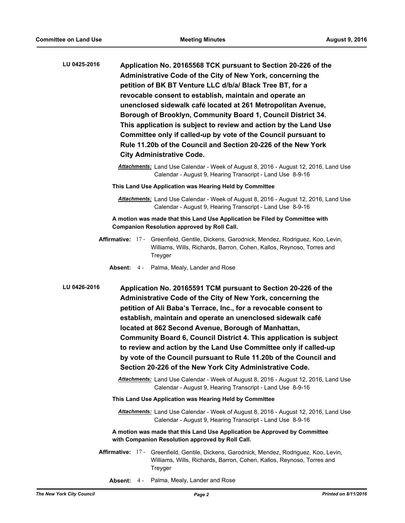| LU 0425-2016 | Application No. 20165568 TCK pursuant to Section 20-226 of the<br>Administrative Code of the City of New York, concerning the<br>petition of BK BT Venture LLC d/b/a/ Black Tree BT, for a<br>revocable consent to establish, maintain and operate an<br>unenclosed sidewalk café located at 261 Metropolitan Avenue,<br>Borough of Brooklyn, Community Board 1, Council District 34.<br>This application is subject to review and action by the Land Use<br>Committee only if called-up by vote of the Council pursuant to<br>Rule 11.20b of the Council and Section 20-226 of the New York<br><b>City Administrative Code.</b> |
|--------------|----------------------------------------------------------------------------------------------------------------------------------------------------------------------------------------------------------------------------------------------------------------------------------------------------------------------------------------------------------------------------------------------------------------------------------------------------------------------------------------------------------------------------------------------------------------------------------------------------------------------------------|
|              | Attachments: Land Use Calendar - Week of August 8, 2016 - August 12, 2016, Land Use<br>Calendar - August 9, Hearing Transcript - Land Use 8-9-16                                                                                                                                                                                                                                                                                                                                                                                                                                                                                 |
|              | This Land Use Application was Hearing Held by Committee                                                                                                                                                                                                                                                                                                                                                                                                                                                                                                                                                                          |
|              | Attachments: Land Use Calendar - Week of August 8, 2016 - August 12, 2016, Land Use<br>Calendar - August 9, Hearing Transcript - Land Use 8-9-16                                                                                                                                                                                                                                                                                                                                                                                                                                                                                 |
|              | A motion was made that this Land Use Application be Filed by Committee with<br><b>Companion Resolution approved by Roll Call.</b>                                                                                                                                                                                                                                                                                                                                                                                                                                                                                                |
|              | Affirmative: 17 - Greenfield, Gentile, Dickens, Garodnick, Mendez, Rodriguez, Koo, Levin,<br>Williams, Wills, Richards, Barron, Cohen, Kallos, Reynoso, Torres and<br>Treyger                                                                                                                                                                                                                                                                                                                                                                                                                                                    |
|              | Absent: 4 - Palma, Mealy, Lander and Rose                                                                                                                                                                                                                                                                                                                                                                                                                                                                                                                                                                                        |
| LU 0426-2016 | Application No. 20165591 TCM pursuant to Section 20-226 of the<br>Administrative Code of the City of New York, concerning the<br>petition of Ali Baba's Terrace, Inc., for a revocable consent to<br>establish, maintain and operate an unenclosed sidewalk café<br>located at 862 Second Avenue, Borough of Manhattan,<br>Community Board 6, Council District 4. This application is subject<br>to review and action by the Land Use Committee only if called-up<br>by vote of the Council pursuant to Rule 11.20b of the Council and<br>Section 20-226 of the New York City Administrative Code.                               |
|              | Attachments: Land Use Calendar - Week of August 8, 2016 - August 12, 2016, Land Use<br>Calendar - August 9, Hearing Transcript - Land Use 8-9-16                                                                                                                                                                                                                                                                                                                                                                                                                                                                                 |
|              | This Land Use Application was Hearing Held by Committee                                                                                                                                                                                                                                                                                                                                                                                                                                                                                                                                                                          |
|              | Attachments: Land Use Calendar - Week of August 8, 2016 - August 12, 2016, Land Use<br>Calendar - August 9, Hearing Transcript - Land Use 8-9-16                                                                                                                                                                                                                                                                                                                                                                                                                                                                                 |
|              | A motion was made that this Land Use Application be Approved by Committee<br>with Companion Resolution approved by Roll Call.                                                                                                                                                                                                                                                                                                                                                                                                                                                                                                    |
|              | Affirmative: 17 - Greenfield, Gentile, Dickens, Garodnick, Mendez, Rodriguez, Koo, Levin,<br>Williams, Wills, Richards, Barron, Cohen, Kallos, Reynoso, Torres and<br>Treyger                                                                                                                                                                                                                                                                                                                                                                                                                                                    |

**Absent:** 4 - Palma, Mealy, Lander and Rose